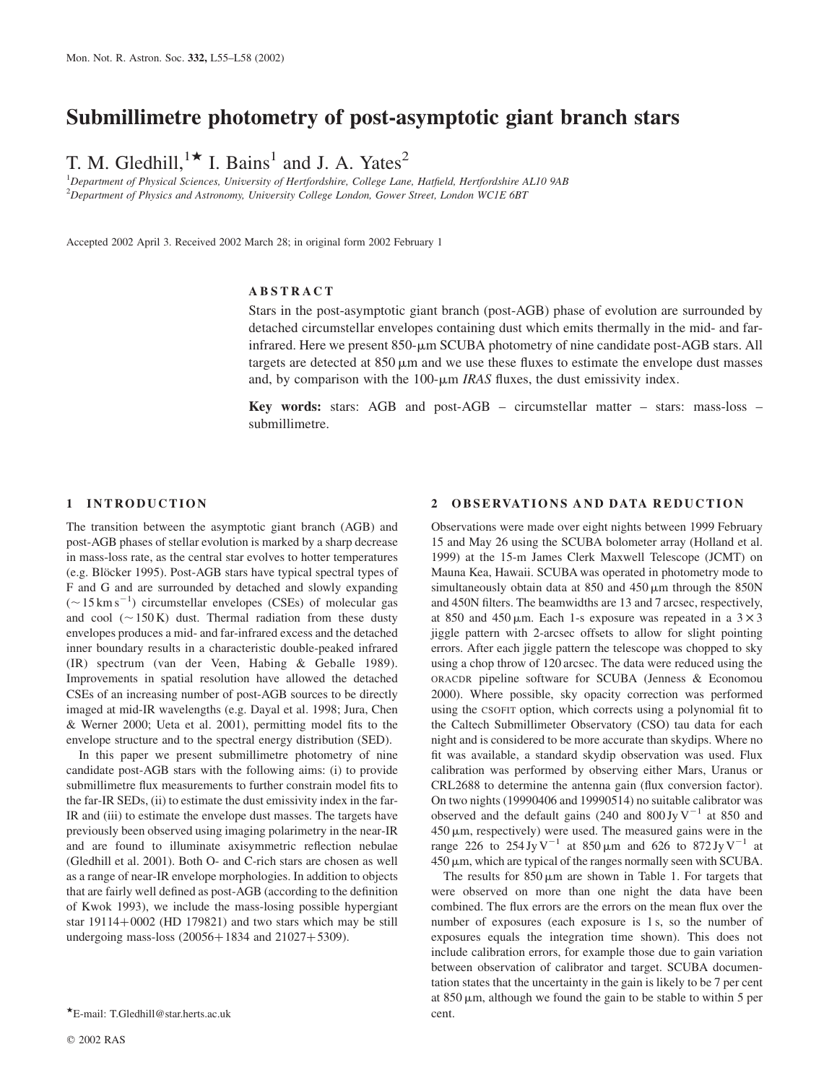# Submillimetre photometry of post-asymptotic giant branch stars

T. M. Gledhill,<sup>1\*</sup> I. Bains<sup>1</sup> and J. A. Yates<sup>2</sup>

<sup>1</sup>Department of Physical Sciences, University of Hertfordshire, College Lane, Hatfield, Hertfordshire AL10 9AB  $^{2}$ Department of Physics and Astronomy, University College London, Gower Street, London WC1E 6BT

Accepted 2002 April 3. Received 2002 March 28; in original form 2002 February 1

# ABSTRACT

Stars in the post-asymptotic giant branch (post-AGB) phase of evolution are surrounded by detached circumstellar envelopes containing dust which emits thermally in the mid- and farinfrared. Here we present 850-µm SCUBA photometry of nine candidate post-AGB stars. All targets are detected at  $850 \mu m$  and we use these fluxes to estimate the envelope dust masses and, by comparison with the  $100$ - $\mu$ m *IRAS* fluxes, the dust emissivity index.

Key words: stars: AGB and post-AGB – circumstellar matter – stars: mass-loss – submillimetre.

# 1 INTRODUCTION

The transition between the asymptotic giant branch (AGB) and post-AGB phases of stellar evolution is marked by a sharp decrease in mass-loss rate, as the central star evolves to hotter temperatures (e.g. Blöcker 1995). Post-AGB stars have typical spectral types of F and G and are surrounded by detached and slowly expanding  $(\sim 15 \text{ km s}^{-1})$  circumstellar envelopes (CSEs) of molecular gas and cool  $({\sim}150\,\text{K})$  dust. Thermal radiation from these dusty envelopes produces a mid- and far-infrared excess and the detached inner boundary results in a characteristic double-peaked infrared (IR) spectrum (van der Veen, Habing & Geballe 1989). Improvements in spatial resolution have allowed the detached CSEs of an increasing number of post-AGB sources to be directly imaged at mid-IR wavelengths (e.g. Dayal et al. 1998; Jura, Chen & Werner 2000; Ueta et al. 2001), permitting model fits to the envelope structure and to the spectral energy distribution (SED).

In this paper we present submillimetre photometry of nine candidate post-AGB stars with the following aims: (i) to provide submillimetre flux measurements to further constrain model fits to the far-IR SEDs, (ii) to estimate the dust emissivity index in the far-IR and (iii) to estimate the envelope dust masses. The targets have previously been observed using imaging polarimetry in the near-IR and are found to illuminate axisymmetric reflection nebulae (Gledhill et al. 2001). Both O- and C-rich stars are chosen as well as a range of near-IR envelope morphologies. In addition to objects that are fairly well defined as post-AGB (according to the definition of Kwok 1993), we include the mass-losing possible hypergiant star  $19114+0002$  (HD 179821) and two stars which may be still undergoing mass-loss  $(20056 + 1834$  and  $21027 + 5309)$ .

# 2 OBSERVATIONS AND DATA REDUCTION

Observations were made over eight nights between 1999 February 15 and May 26 using the SCUBA bolometer array (Holland et al. 1999) at the 15-m James Clerk Maxwell Telescope (JCMT) on Mauna Kea, Hawaii. SCUBA was operated in photometry mode to simultaneously obtain data at  $850$  and  $450 \,\mu m$  through the  $850N$ and 450N filters. The beamwidths are 13 and 7 arcsec, respectively, at 850 and 450  $\mu$ m. Each 1-s exposure was repeated in a 3  $\times$  3 jiggle pattern with 2-arcsec offsets to allow for slight pointing errors. After each jiggle pattern the telescope was chopped to sky using a chop throw of 120 arcsec. The data were reduced using the ORACDR pipeline software for SCUBA (Jenness & Economou 2000). Where possible, sky opacity correction was performed using the CSOFIT option, which corrects using a polynomial fit to the Caltech Submillimeter Observatory (CSO) tau data for each night and is considered to be more accurate than skydips. Where no fit was available, a standard skydip observation was used. Flux calibration was performed by observing either Mars, Uranus or CRL2688 to determine the antenna gain (flux conversion factor). On two nights (19990406 and 19990514) no suitable calibrator was observed and the default gains (240 and  $800 \text{ Jy V}^{-1}$  at 850 and  $450 \,\mu$ m, respectively) were used. The measured gains were in the range 226 to 254 Jy V<sup>-1</sup> at 850  $\mu$ m and 626 to 872 Jy V<sup>-1</sup> at  $450 \,\mu$ m, which are typical of the ranges normally seen with SCUBA.

The results for  $850 \mu m$  are shown in Table 1. For targets that were observed on more than one night the data have been combined. The flux errors are the errors on the mean flux over the number of exposures (each exposure is 1 s, so the number of exposures equals the integration time shown). This does not include calibration errors, for example those due to gain variation between observation of calibrator and target. SCUBA documentation states that the uncertainty in the gain is likely to be 7 per cent at  $850 \mu m$ , although we found the gain to be stable to within 5 per

 $E$ -mail: T.Gledhill@star.herts.ac.uk cent.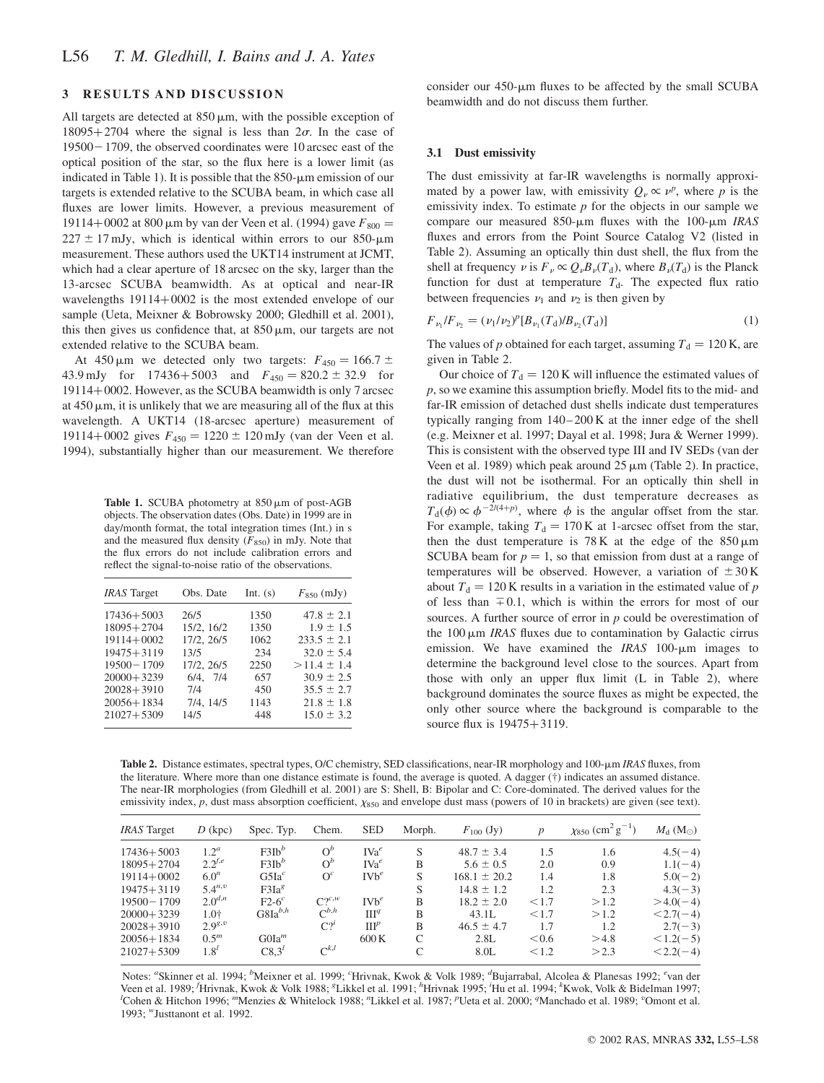# 3 RESULTS AND DISCUSSION

All targets are detected at  $850 \,\mu m$ , with the possible exception of  $18095+2704$  where the signal is less than  $2\sigma$ . In the case of  $19500 - 1709$ , the observed coordinates were 10 arcsec east of the optical position of the star, so the flux here is a lower limit (as indicated in Table 1). It is possible that the  $850$ - $\mu$ m emission of our targets is extended relative to the SCUBA beam, in which case all fluxes are lower limits. However, a previous measurement of 19114+0002 at 800  $\mu$ m by van der Veen et al. (1994) gave  $F_{800} =$  $227 \pm 17$  mJy, which is identical within errors to our 850-µm measurement. These authors used the UKT14 instrument at JCMT, which had a clear aperture of 18 arcsec on the sky, larger than the 13-arcsec SCUBA beamwidth. As at optical and near-IR wavelengths  $19114 + 0002$  is the most extended envelope of our sample (Ueta, Meixner & Bobrowsky 2000; Gledhill et al. 2001), this then gives us confidence that, at  $850 \,\mu m$ , our targets are not extended relative to the SCUBA beam.

At 450  $\mu$ m we detected only two targets:  $F_{450} = 166.7 \pm$ 43.9 mJy for  $17436 + 5003$  and  $F_{450} = 820.2 \pm 32.9$  for 19114+0002. However, as the SCUBA beamwidth is only 7 arcsec at  $450 \mu m$ , it is unlikely that we are measuring all of the flux at this wavelength. A UKT14 (18-arcsec aperture) measurement of 19114+0002 gives  $F_{450} = 1220 \pm 120$  mJy (van der Veen et al. 1994), substantially higher than our measurement. We therefore

Table 1. SCUBA photometry at  $850 \,\mu m$  of post-AGB objects. The observation dates (Obs. Date) in 1999 are in day/month format, the total integration times (Int.) in s and the measured flux density  $(F_{850})$  in mJy. Note that the flux errors do not include calibration errors and reflect the signal-to-noise ratio of the observations.

| <b>IRAS</b> Target | Obs. Date     | Int. $(s)$ | $F_{850}$ (mJy) |
|--------------------|---------------|------------|-----------------|
| $17436 + 5003$     | 26/5          | 1350       | $47.8 \pm 2.1$  |
| $18095 + 2704$     | 15/2, 16/2    | 1350       | $1.9 \pm 1.5$   |
| $19114 + 0002$     | 17/2, 26/5    | 1062       | $233.5 \pm 2.1$ |
| $19475 + 3119$     | 13/5          | 234        | $32.0 \pm 5.4$  |
| $19500 - 1709$     | 17/2, 26/5    | 2250       | $>11.4 \pm 1.4$ |
| $20000+3239$       | $6/4$ , $7/4$ | 657        | $30.9 \pm 2.5$  |
| $20028 + 3910$     | 7/4           | 450        | $35.5 \pm 2.7$  |
| 20056+1834         | 7/4, 14/5     | 1143       | $21.8 \pm 1.8$  |
| 21027+5309         | 14/5          | 448        | $15.0 \pm 3.2$  |

consider our  $450$ - $\mu$ m fluxes to be affected by the small SCUBA beamwidth and do not discuss them further.

#### 3.1 Dust emissivity

The dust emissivity at far-IR wavelengths is normally approximated by a power law, with emissivity  $Q_{\nu} \propto \nu^{p}$ , where p is the emissivity index. To estimate  $p$  for the objects in our sample we compare our measured 850- $\mu$ m fluxes with the 100- $\mu$ m IRAS fluxes and errors from the Point Source Catalog V2 (listed in Table 2). Assuming an optically thin dust shell, the flux from the shell at frequency  $\nu$  is  $F_v \propto Q_v B_v(T_d)$ , where  $B_v(T_d)$  is the Planck function for dust at temperature  $T<sub>d</sub>$ . The expected flux ratio between frequencies  $\nu_1$  and  $\nu_2$  is then given by

$$
F_{\nu_1}/F_{\nu_2} = (\nu_1/\nu_2)^p [B_{\nu_1}(T_d)/B_{\nu_2}(T_d)] \tag{1}
$$

The values of p obtained for each target, assuming  $T<sub>d</sub> = 120$  K, are given in Table 2.

Our choice of  $T<sub>d</sub> = 120$  K will influence the estimated values of p, so we examine this assumption briefly. Model fits to the mid- and far-IR emission of detached dust shells indicate dust temperatures typically ranging from 140–200 K at the inner edge of the shell (e.g. Meixner et al. 1997; Dayal et al. 1998; Jura & Werner 1999). This is consistent with the observed type III and IV SEDs (van der Veen et al. 1989) which peak around  $25 \mu$ m (Table 2). In practice, the dust will not be isothermal. For an optically thin shell in radiative equilibrium, the dust temperature decreases as  $T_d(\phi) \propto \phi^{-2/(4+p)}$ , where  $\phi$  is the angular offset from the star. For example, taking  $T_d = 170$  K at 1-arcsec offset from the star, then the dust temperature is  $78$  K at the edge of the  $850 \,\mu m$ SCUBA beam for  $p = 1$ , so that emission from dust at a range of temperatures will be observed. However, a variation of  $\pm 30$  K about  $T_d = 120$  K results in a variation in the estimated value of p of less than  $\mp 0.1$ , which is within the errors for most of our sources. A further source of error in  $p$  could be overestimation of the  $100 \mu m$  IRAS fluxes due to contamination by Galactic cirrus emission. We have examined the *IRAS* 100- $\mu$ m images to determine the background level close to the sources. Apart from those with only an upper flux limit (L in Table 2), where background dominates the source fluxes as might be expected, the only other source where the background is comparable to the source flux is  $19475 + 3119$ .

Table 2. Distance estimates, spectral types, O/C chemistry, SED classifications, near-IR morphology and 100-µm IRAS fluxes, from the literature. Where more than one distance estimate is found, the average is quoted. A dagger (†) indicates an assumed distance. The near-IR morphologies (from Gledhill et al. 2001) are S: Shell, B: Bipolar and C: Core-dominated. The derived values for the emissivity index,  $p$ , dust mass absorption coefficient,  $\chi_{850}$  and envelope dust mass (powers of 10 in brackets) are given (see text).

| <b>IRAS</b> Target | $D$ (kpc)        | Spec. Typ.           | Chem.            | <b>SED</b>       | Morph. | $F_{100}$ (Jy)   | $\boldsymbol{p}$ | $\chi_{850}$ (cm <sup>2</sup> g <sup>-1</sup> ) | $M_{\rm d}$ (M <sub><math>\odot</math></sub> ) |
|--------------------|------------------|----------------------|------------------|------------------|--------|------------------|------------------|-------------------------------------------------|------------------------------------------------|
| $17436 + 5003$     | 1.2 <sup>a</sup> | $F3Ih^b$             | $O^b$            | $IVa^e$          | S      | $48.7 \pm 3.4$   | 1.5              | 1.6                                             | $4.5(-4)$                                      |
| $18095 + 2704$     | $2.2^{f,e}$      | $F3Ih^b$             | $O^b$            | $IVa^e$          | B      | $5.6 \pm 0.5$    | 2.0              | 0.9                                             | $1.1(-4)$                                      |
| $19114 + 0002$     | $6.0^n$          | G5Ia <sup>c</sup>    | $O^{c}$          | $IVb^e$          | S      | $168.1 \pm 20.2$ | 1.4              | 1.8                                             | $5.0(-2)$                                      |
| $19475 + 3119$     | $5.4^{n,v}$      | F3Ia <sup>g</sup>    |                  |                  | S      | $14.8 \pm 1.2$   | 1.2              | 2.3                                             | $4.3(-3)$                                      |
| $19500 - 1709$     | $2.0^{d,n}$      | $F2-6$ <sup>c</sup>  | $C^{\gamma c,w}$ | $I V h^e$        | B      | $18.2 \pm 2.0$   | < 1.7            | >1.2                                            | $>4.0(-4)$                                     |
| $20000+3239$       | $1.0^{+}$        | $G8Ia^{b,h}$         | $C^{b,h}$        | III <sup>q</sup> | B      | 43.1L            | < 1.7            | >1.2                                            | $< 2.7(-4)$                                    |
| $20028 + 3910$     | $2.9^{g,v}$      |                      | $C_2^l$          | III <sup>p</sup> | B      | $46.5 \pm 4.7$   | 1.7              | 1.2                                             | $2.7(-3)$                                      |
| $20056 + 1834$     | $0.5^m$          | G O I a <sup>m</sup> |                  | 600K             | C      | 2.8L             | < 0.6            | >4.8                                            | $< 1.2(-5)$                                    |
| $21027 + 5309$     | $1.8^{l}$        | C8.3 <sup>l</sup>    | $C^{k,l}$        |                  | C      | 8.0 <sub>L</sub> | < 1.2            | >2.3                                            | $< 2.2(-4)$                                    |

Notes: "Skinner et al. 1994; <sup>b</sup>Meixner et al. 1999; "Hrivnak, Kwok & Volk 1989; "Bujarrabal, Alcolea & Planesas 1992; "van der Veen et al. 1989; Hrivnak, Kwok & Volk 1988; <sup>g</sup>Likkel et al. 1991; <sup>h</sup>Hrivnak 1995; <sup>*H*</sup>u et al. 1994; <sup>k</sup>Kwok, Volk & Bidelman 1997; <sup>1</sup>Cohen & Hitchen 1997; <sup>1</sup>Cohen & Hitchen 1990; <sup>9</sup>Omont et al. Cohen & Hitchon 1996; "Menzies & Whitelock 1988; "Likkel et al. 1987; "Ueta et al. 2000; "Manchado et al. 1989; "Omont et al. 1993; <sup>*w*</sup>Justtanont et al. 1992.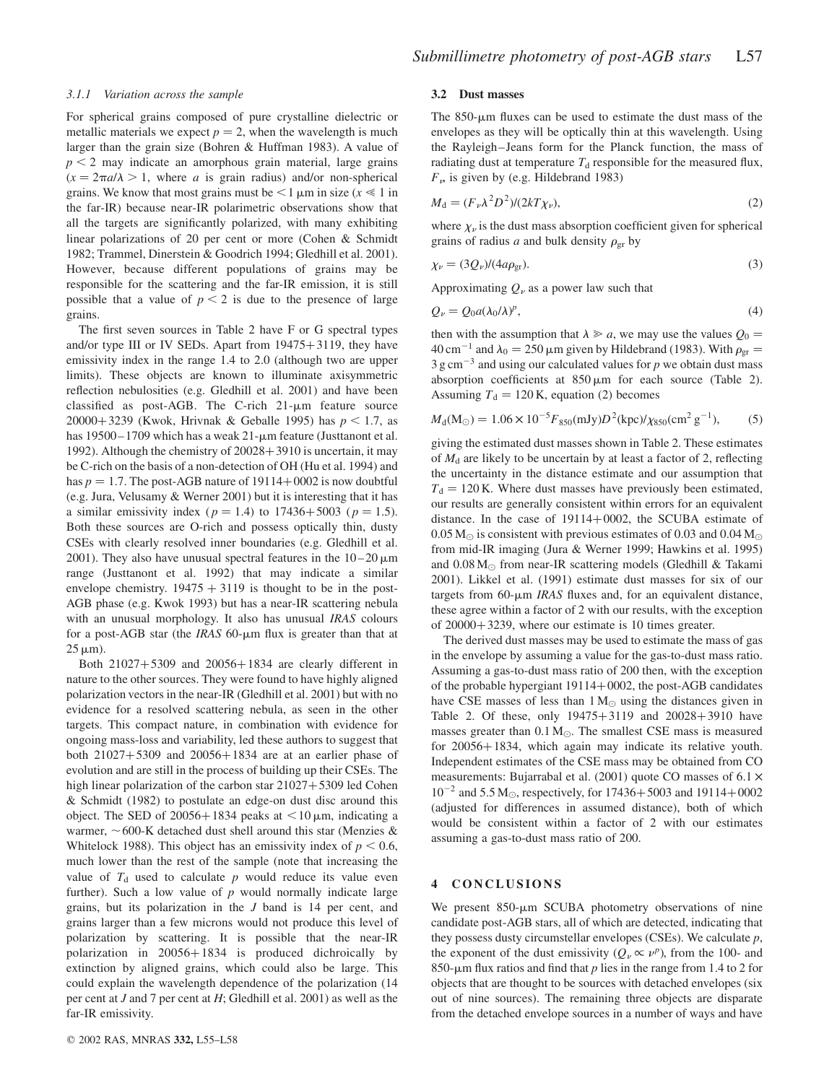#### 3.1.1 Variation across the sample

For spherical grains composed of pure crystalline dielectric or metallic materials we expect  $p = 2$ , when the wavelength is much larger than the grain size (Bohren & Huffman 1983). A value of  $p < 2$  may indicate an amorphous grain material, large grains  $(x = 2\pi a/\lambda > 1$ , where a is grain radius) and/or non-spherical grains. We know that most grains must be  $\leq 1 \mu m$  in size  $(x \leq 1)$  in the far-IR) because near-IR polarimetric observations show that all the targets are significantly polarized, with many exhibiting linear polarizations of 20 per cent or more (Cohen & Schmidt 1982; Trammel, Dinerstein & Goodrich 1994; Gledhill et al. 2001). However, because different populations of grains may be responsible for the scattering and the far-IR emission, it is still possible that a value of  $p < 2$  is due to the presence of large grains.

The first seven sources in Table 2 have F or G spectral types and/or type III or IV SEDs. Apart from  $19475+3119$ , they have emissivity index in the range 1.4 to 2.0 (although two are upper limits). These objects are known to illuminate axisymmetric reflection nebulosities (e.g. Gledhill et al. 2001) and have been classified as post-AGB. The C-rich  $21-\mu m$  feature source 20000+3239 (Kwok, Hrivnak & Geballe 1995) has  $p < 1.7$ , as has  $19500 - 1709$  which has a weak  $21$ - $\mu$ m feature (Justtanont et al. 1992). Although the chemistry of  $20028 + 3910$  is uncertain, it may be C-rich on the basis of a non-detection of OH (Hu et al. 1994) and has  $p = 1.7$ . The post-AGB nature of 19114 + 0002 is now doubtful (e.g. Jura, Velusamy & Werner 2001) but it is interesting that it has a similar emissivity index ( $p = 1.4$ ) to 17436+5003 ( $p = 1.5$ ). Both these sources are O-rich and possess optically thin, dusty CSEs with clearly resolved inner boundaries (e.g. Gledhill et al. 2001). They also have unusual spectral features in the  $10-20 \,\mu m$ range (Justtanont et al. 1992) that may indicate a similar envelope chemistry.  $19475 + 3119$  is thought to be in the post-AGB phase (e.g. Kwok 1993) but has a near-IR scattering nebula with an unusual morphology. It also has unusual IRAS colours for a post-AGB star (the *IRAS* 60- $\mu$ m flux is greater than that at  $25 \mu m$ ).

Both  $21027+5309$  and  $20056+1834$  are clearly different in nature to the other sources. They were found to have highly aligned polarization vectors in the near-IR (Gledhill et al. 2001) but with no evidence for a resolved scattering nebula, as seen in the other targets. This compact nature, in combination with evidence for ongoing mass-loss and variability, led these authors to suggest that both  $21027+5309$  and  $20056+1834$  are at an earlier phase of evolution and are still in the process of building up their CSEs. The high linear polarization of the carbon star  $21027+5309$  led Cohen & Schmidt (1982) to postulate an edge-on dust disc around this object. The SED of 20056+1834 peaks at  $\lt 10 \,\mu$ m, indicating a warmer,  $\sim$  600-K detached dust shell around this star (Menzies & Whitelock 1988). This object has an emissivity index of  $p < 0.6$ , much lower than the rest of the sample (note that increasing the value of  $T<sub>d</sub>$  used to calculate p would reduce its value even further). Such a low value of  $p$  would normally indicate large grains, but its polarization in the J band is 14 per cent, and grains larger than a few microns would not produce this level of polarization by scattering. It is possible that the near-IR polarization in  $20056+1834$  is produced dichroically by extinction by aligned grains, which could also be large. This could explain the wavelength dependence of the polarization (14 per cent at J and 7 per cent at H; Gledhill et al. 2001) as well as the far-IR emissivity.

#### 3.2 Dust masses

The  $850$ - $\mu$ m fluxes can be used to estimate the dust mass of the envelopes as they will be optically thin at this wavelength. Using the Rayleigh–Jeans form for the Planck function, the mass of radiating dust at temperature  $T<sub>d</sub>$  responsible for the measured flux,  $F<sub>\nu</sub>$  is given by (e.g. Hildebrand 1983)

$$
M_{\rm d} = (F_{\nu} \lambda^2 D^2) / (2kT \chi_{\nu}),\tag{2}
$$

where  $\chi_{\nu}$  is the dust mass absorption coefficient given for spherical grains of radius a and bulk density  $\rho_{gr}$  by

$$
\chi_{\nu} = (3Q_{\nu})/(4a\rho_{\rm gr}).\tag{3}
$$

Approximating  $Q_{\nu}$  as a power law such that

$$
Q_{\nu} = Q_0 a(\lambda_0/\lambda)^p, \tag{4}
$$

then with the assumption that  $\lambda \ge a$ , we may use the values  $Q_0 =$ 40 cm<sup>-1</sup> and  $\lambda_0 = 250 \,\mu\text{m}$  given by Hildebrand (1983). With  $\rho_{\text{gr}} =$  $3 \text{ g cm}^{-3}$  and using our calculated values for p we obtain dust mass absorption coefficients at  $850 \,\mu m$  for each source (Table 2). Assuming  $T<sub>d</sub> = 120$  K, equation (2) becomes

$$
M_{\rm d}(\rm M_{\odot}) = 1.06 \times 10^{-5} F_{850} (\rm mJy) D^2 (\rm kpc) / \chi_{850} (\rm cm^2 \, g^{-1}), \tag{5}
$$

giving the estimated dust masses shown in Table 2. These estimates of  $M_d$  are likely to be uncertain by at least a factor of 2, reflecting the uncertainty in the distance estimate and our assumption that  $T<sub>d</sub> = 120$  K. Where dust masses have previously been estimated, our results are generally consistent within errors for an equivalent distance. In the case of  $19114+0002$ , the SCUBA estimate of 0.05 M<sub> $\odot$ </sub> is consistent with previous estimates of 0.03 and 0.04 M $\odot$ from mid-IR imaging (Jura & Werner 1999; Hawkins et al. 1995) and  $0.08 M_{\odot}$  from near-IR scattering models (Gledhill & Takami 2001). Likkel et al. (1991) estimate dust masses for six of our targets from  $60$ - $\mu$ m *IRAS* fluxes and, for an equivalent distance, these agree within a factor of 2 with our results, with the exception of  $20000+3239$ , where our estimate is 10 times greater.

The derived dust masses may be used to estimate the mass of gas in the envelope by assuming a value for the gas-to-dust mass ratio. Assuming a gas-to-dust mass ratio of 200 then, with the exception of the probable hypergiant  $19114+0002$ , the post-AGB candidates have CSE masses of less than  $1 M_{\odot}$  using the distances given in Table 2. Of these, only  $19475 + 3119$  and  $20028 + 3910$  have masses greater than  $0.1 M_{\odot}$ . The smallest CSE mass is measured for  $20056 + 1834$ , which again may indicate its relative youth. Independent estimates of the CSE mass may be obtained from CO measurements: Bujarrabal et al. (2001) quote CO masses of  $6.1 \times$  $10^{-2}$  and 5.5 M<sub>o</sub>, respectively, for 17436 + 5003 and 19114 + 0002 (adjusted for differences in assumed distance), both of which would be consistent within a factor of 2 with our estimates assuming a gas-to-dust mass ratio of 200.

## 4 CONCLUSIONS

We present  $850-\mu m$  SCUBA photometry observations of nine candidate post-AGB stars, all of which are detected, indicating that they possess dusty circumstellar envelopes (CSEs). We calculate  $p$ , the exponent of the dust emissivity  $(Q_v \propto v^p)$ , from the 100- and 850-µm flux ratios and find that p lies in the range from 1.4 to 2 for objects that are thought to be sources with detached envelopes (six out of nine sources). The remaining three objects are disparate from the detached envelope sources in a number of ways and have